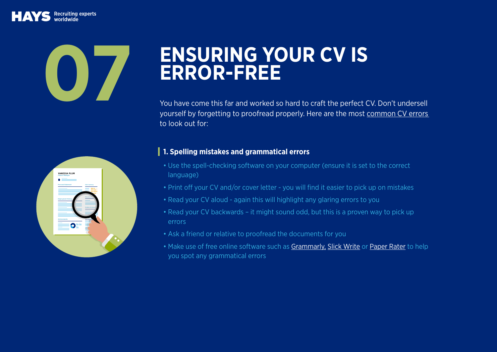Recruiting experts

# **ENSURING YOUR CV IS**<br>ERROR-FREE

You have come this far and worked so hard to craft the perfect CV. Don't undersell yourself by forgetting to proofread properly. Here are the most [common CV errors](https://social.hays.com/2017/01/17/four-steps-to-an-error-free-cv/) to look out for:

## **VANESSA PLU** Finance Manager Personal Statement Education & City Employment History Achievements References

#### **1. Spelling mistakes and grammatical errors**

- Use the spell-checking software on your computer (ensure it is set to the correct language)
- Print off your CV and/or cover letter you will find it easier to pick up on mistakes
- Read your CV aloud again this will highlight any glaring errors to you
- Read your CV backwards it might sound odd, but this is a proven way to pick up errors
- Ask a friend or relative to proofread the documents for you
- Make use of free online software such as [Grammarly](https://www.grammarly.com/), [Slick Write](https://www.slickwrite.com/) or [Paper Rater](https://www.paperrater.com/) to help you spot any grammatical errors